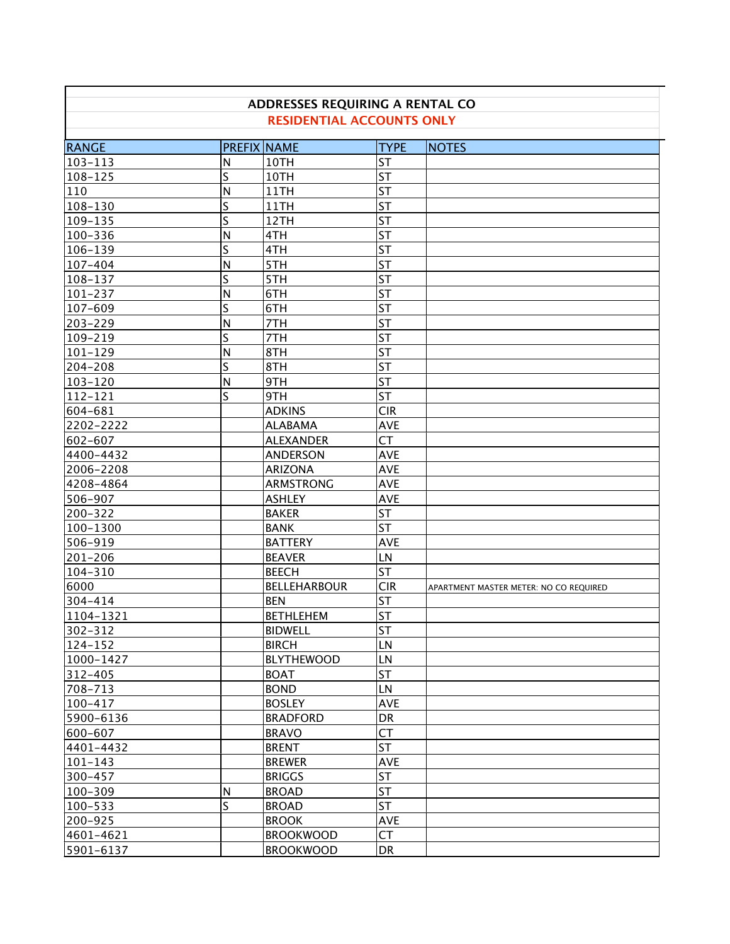| ADDRESSES REQUIRING A RENTAL CO<br><b>RESIDENTIAL ACCOUNTS ONLY</b> |                         |                     |             |                                        |  |
|---------------------------------------------------------------------|-------------------------|---------------------|-------------|----------------------------------------|--|
| <b>RANGE</b>                                                        |                         | <b>PREFIX NAME</b>  | <b>TYPE</b> | <b>NOTES</b>                           |  |
| $103 - 113$                                                         | N                       | 10TH                | <b>ST</b>   |                                        |  |
| 108-125                                                             | S                       | 10TH                | <b>ST</b>   |                                        |  |
| 110                                                                 | N                       | 11TH                | <b>ST</b>   |                                        |  |
| 108-130                                                             | $\overline{\mathsf{S}}$ | 11TH                | <b>ST</b>   |                                        |  |
| 109-135                                                             | $\overline{\mathsf{S}}$ | 12TH                | <b>ST</b>   |                                        |  |
| 100-336                                                             | N                       | 4TH                 | <b>ST</b>   |                                        |  |
| 106-139                                                             | $\mathsf S$             | 4TH                 | <b>ST</b>   |                                        |  |
| 107-404                                                             | N                       | 5TH                 | <b>ST</b>   |                                        |  |
| 108-137                                                             | $\overline{\mathsf{S}}$ | 5TH                 | <b>ST</b>   |                                        |  |
| $101 - 237$                                                         | N                       | 6TH                 | <b>ST</b>   |                                        |  |
| 107-609                                                             | S                       | 6TH                 | <b>ST</b>   |                                        |  |
| 203-229                                                             | N                       | 7TH                 | <b>ST</b>   |                                        |  |
| 109-219                                                             | $\overline{\mathsf{S}}$ | 7TH                 | ST          |                                        |  |
| $101 - 129$                                                         | N                       | 8TH                 | ST          |                                        |  |
| 204-208                                                             | $\overline{\mathsf{S}}$ | 8TH                 | ST          |                                        |  |
| $103 - 120$                                                         | N                       | 9TH                 | <b>ST</b>   |                                        |  |
| 112-121                                                             | Ś                       | 9TH                 | <b>ST</b>   |                                        |  |
| 604-681                                                             |                         | <b>ADKINS</b>       | <b>CIR</b>  |                                        |  |
| 2202-2222                                                           |                         | <b>ALABAMA</b>      | <b>AVE</b>  |                                        |  |
| 602-607                                                             |                         | <b>ALEXANDER</b>    | <b>CT</b>   |                                        |  |
| 4400-4432                                                           |                         | <b>ANDERSON</b>     | <b>AVE</b>  |                                        |  |
| 2006-2208                                                           |                         | <b>ARIZONA</b>      | <b>AVE</b>  |                                        |  |
| 4208-4864                                                           |                         | <b>ARMSTRONG</b>    | <b>AVE</b>  |                                        |  |
| 506-907                                                             |                         | <b>ASHLEY</b>       | <b>AVE</b>  |                                        |  |
| 200-322                                                             |                         | <b>BAKER</b>        | <b>ST</b>   |                                        |  |
| 100-1300                                                            |                         | <b>BANK</b>         | <b>ST</b>   |                                        |  |
| 506-919                                                             |                         | <b>BATTERY</b>      | <b>AVE</b>  |                                        |  |
| $201 - 206$                                                         |                         | <b>BEAVER</b>       | LN          |                                        |  |
| 104-310                                                             |                         | <b>BEECH</b>        | <b>ST</b>   |                                        |  |
| 6000                                                                |                         | <b>BELLEHARBOUR</b> | <b>CIR</b>  | APARTMENT MASTER METER: NO CO REQUIRED |  |
| 304-414                                                             |                         | <b>BEN</b>          | ST          |                                        |  |
| 1104-1321                                                           |                         | <b>BETHLEHEM</b>    | ST          |                                        |  |
| 302-312                                                             |                         | <b>BIDWELL</b>      | lst         |                                        |  |
| $124 - 152$                                                         |                         | <b>BIRCH</b>        | LN          |                                        |  |
| 1000-1427                                                           |                         | <b>BLYTHEWOOD</b>   | LN          |                                        |  |
| 312-405                                                             |                         | <b>BOAT</b>         | ST          |                                        |  |
| 708-713                                                             |                         | <b>BOND</b>         | LN          |                                        |  |
| 100-417                                                             |                         | <b>BOSLEY</b>       | AVE         |                                        |  |
| 5900-6136                                                           |                         | <b>BRADFORD</b>     | <b>DR</b>   |                                        |  |
| 600-607                                                             |                         | <b>BRAVO</b>        | <b>CT</b>   |                                        |  |
| 4401-4432                                                           |                         | <b>BRENT</b>        | <b>ST</b>   |                                        |  |
| $101 - 143$                                                         |                         | <b>BREWER</b>       | AVE         |                                        |  |
| 300-457                                                             |                         | <b>BRIGGS</b>       | <b>ST</b>   |                                        |  |
| 100-309                                                             | N                       | <b>BROAD</b>        | <b>ST</b>   |                                        |  |
| 100-533                                                             | S                       | <b>BROAD</b>        | <b>ST</b>   |                                        |  |
| 200-925                                                             |                         | <b>BROOK</b>        | AVE         |                                        |  |
| 4601-4621                                                           |                         | <b>BROOKWOOD</b>    | <b>CT</b>   |                                        |  |
| 5901-6137                                                           |                         | <b>BROOKWOOD</b>    | DR          |                                        |  |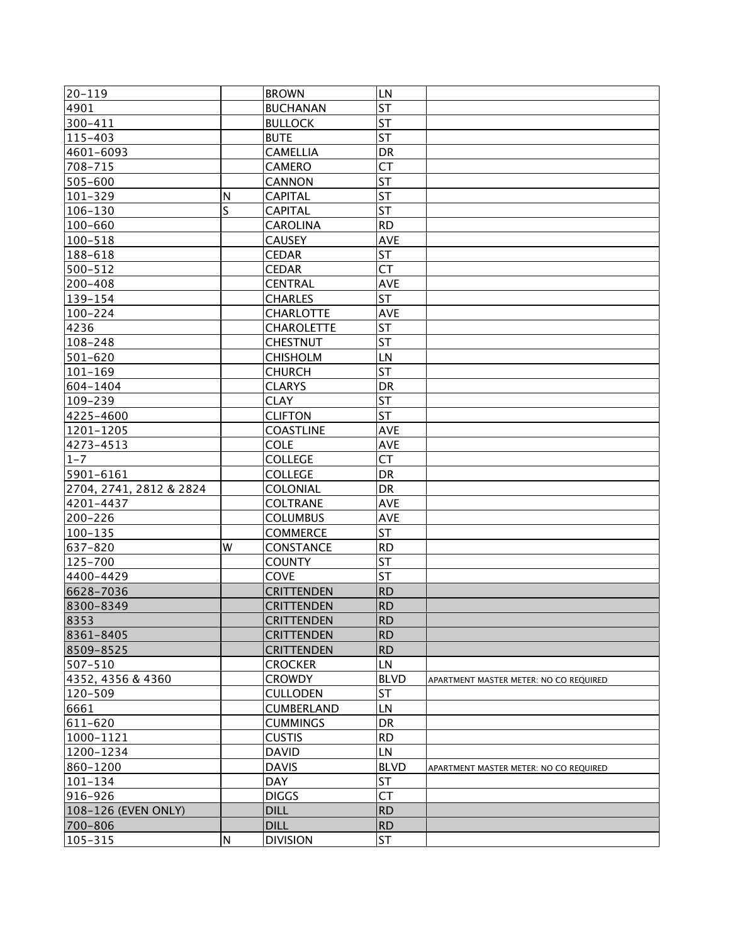| 20-119                  |              | <b>BROWN</b>      | LN          |                                        |
|-------------------------|--------------|-------------------|-------------|----------------------------------------|
| 4901                    |              | <b>BUCHANAN</b>   | <b>ST</b>   |                                        |
| 300-411                 |              | <b>BULLOCK</b>    | <b>ST</b>   |                                        |
| 115-403                 |              | <b>BUTE</b>       | <b>ST</b>   |                                        |
| 4601-6093               |              | <b>CAMELLIA</b>   | DR          |                                        |
| 708-715                 |              | <b>CAMERO</b>     | <b>CT</b>   |                                        |
| 505-600                 |              | <b>CANNON</b>     | <b>ST</b>   |                                        |
| $101 - 329$             | $\mathsf{N}$ | <b>CAPITAL</b>    | <b>ST</b>   |                                        |
| $106 - 130$             | S            |                   | <b>ST</b>   |                                        |
|                         |              | <b>CAPITAL</b>    |             |                                        |
| 100-660                 |              | <b>CAROLINA</b>   | <b>RD</b>   |                                        |
| 100-518                 |              | <b>CAUSEY</b>     | <b>AVE</b>  |                                        |
| 188-618                 |              | <b>CEDAR</b>      | <b>ST</b>   |                                        |
| 500-512                 |              | <b>CEDAR</b>      | <b>CT</b>   |                                        |
| 200-408                 |              | <b>CENTRAL</b>    | <b>AVE</b>  |                                        |
| 139-154                 |              | <b>CHARLES</b>    | <b>ST</b>   |                                        |
| $100 - 224$             |              | <b>CHARLOTTE</b>  | <b>AVE</b>  |                                        |
| 4236                    |              | <b>CHAROLETTE</b> | <b>ST</b>   |                                        |
| 108-248                 |              | <b>CHESTNUT</b>   | <b>ST</b>   |                                        |
| 501-620                 |              | <b>CHISHOLM</b>   | LN          |                                        |
| $101 - 169$             |              | <b>CHURCH</b>     | <b>ST</b>   |                                        |
| 604-1404                |              | <b>CLARYS</b>     | DR          |                                        |
| 109-239                 |              | <b>CLAY</b>       | <b>ST</b>   |                                        |
| 4225-4600               |              | <b>CLIFTON</b>    | <b>ST</b>   |                                        |
| 1201-1205               |              | <b>COASTLINE</b>  | <b>AVE</b>  |                                        |
| 4273-4513               |              | <b>COLE</b>       | <b>AVE</b>  |                                        |
| $1 - 7$                 |              | <b>COLLEGE</b>    | <b>CT</b>   |                                        |
| 5901-6161               |              | <b>COLLEGE</b>    | DR          |                                        |
| 2704, 2741, 2812 & 2824 |              | <b>COLONIAL</b>   | DR          |                                        |
| 4201-4437               |              | <b>COLTRANE</b>   | <b>AVE</b>  |                                        |
| 200-226                 |              | <b>COLUMBUS</b>   | <b>AVE</b>  |                                        |
| $100 - 135$             |              | <b>COMMERCE</b>   | <b>ST</b>   |                                        |
| 637-820                 | W            | CONSTANCE         | <b>RD</b>   |                                        |
| 125-700                 |              | <b>COUNTY</b>     | <b>ST</b>   |                                        |
| 4400-4429               |              | <b>COVE</b>       | <b>ST</b>   |                                        |
| 6628-7036               |              | <b>CRITTENDEN</b> | <b>RD</b>   |                                        |
| 8300-8349               |              | <b>CRITTENDEN</b> | <b>RD</b>   |                                        |
| 8353                    |              | <b>CRITTENDEN</b> | RD          |                                        |
| 8361-8405               |              | <b>CRITTENDEN</b> | <b>RD</b>   |                                        |
| 8509-8525               |              | <b>CRITTENDEN</b> | <b>RD</b>   |                                        |
| 507-510                 |              | <b>CROCKER</b>    | LN          |                                        |
| 4352, 4356 & 4360       |              | <b>CROWDY</b>     | <b>BLVD</b> | APARTMENT MASTER METER: NO CO REQUIRED |
| 120-509                 |              | <b>CULLODEN</b>   | <b>ST</b>   |                                        |
| 6661                    |              | <b>CUMBERLAND</b> | LN          |                                        |
| 611-620                 |              | <b>CUMMINGS</b>   | DR          |                                        |
| 1000-1121               |              | <b>CUSTIS</b>     | <b>RD</b>   |                                        |
| 1200-1234               |              | <b>DAVID</b>      | LN          |                                        |
| 860-1200                |              |                   | <b>BLVD</b> |                                        |
|                         |              | <b>DAVIS</b>      |             | APARTMENT MASTER METER: NO CO REQUIRED |
| $101 - 134$             |              | <b>DAY</b>        | ST          |                                        |
| 916-926                 |              | <b>DIGGS</b>      | <b>CT</b>   |                                        |
| 108-126 (EVEN ONLY)     |              | <b>DILL</b>       | <b>RD</b>   |                                        |
| 700-806                 |              | <b>DILL</b>       | <b>RD</b>   |                                        |
| 105-315                 | ${\sf N}$    | <b>DIVISION</b>   | ST          |                                        |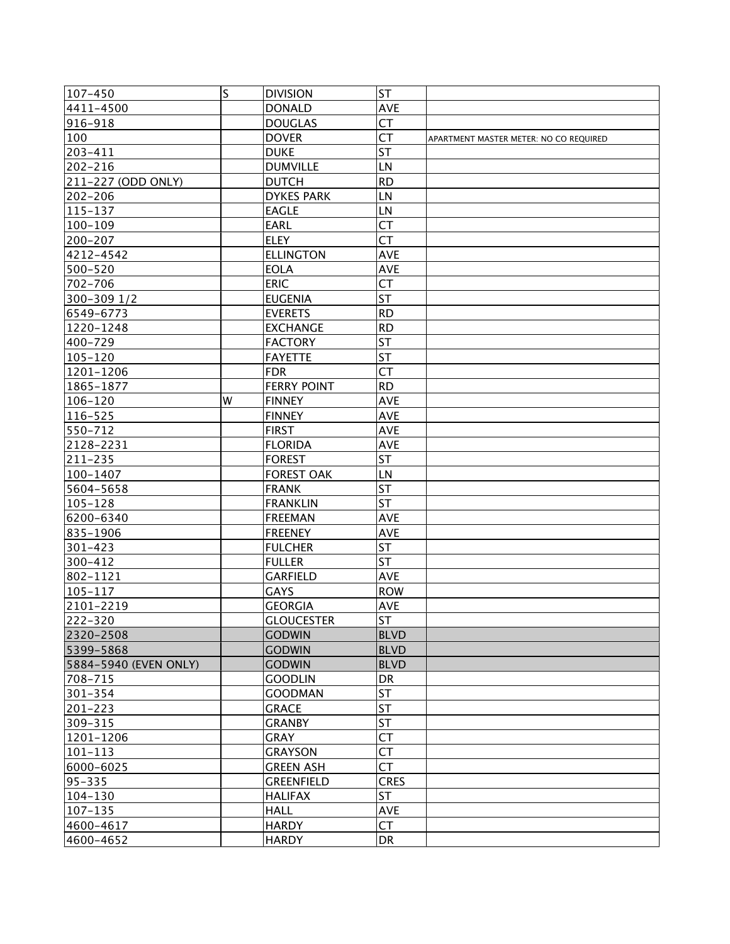| 107-450               | S | <b>DIVISION</b>    | ST          |                                        |
|-----------------------|---|--------------------|-------------|----------------------------------------|
| 4411-4500             |   | <b>DONALD</b>      | <b>AVE</b>  |                                        |
| 916-918               |   | <b>DOUGLAS</b>     | <b>CT</b>   |                                        |
| 100                   |   | <b>DOVER</b>       | <b>CT</b>   | APARTMENT MASTER METER: NO CO REQUIRED |
| 203-411               |   | <b>DUKE</b>        | <b>ST</b>   |                                        |
| 202-216               |   | <b>DUMVILLE</b>    | LN          |                                        |
| 211-227 (ODD ONLY)    |   | <b>DUTCH</b>       | <b>RD</b>   |                                        |
| 202-206               |   | <b>DYKES PARK</b>  | LN          |                                        |
| 115-137               |   | <b>EAGLE</b>       | LN          |                                        |
| $100 - 109$           |   | <b>EARL</b>        | <b>CT</b>   |                                        |
| 200-207               |   | <b>ELEY</b>        | <b>CT</b>   |                                        |
| 4212-4542             |   | <b>ELLINGTON</b>   | <b>AVE</b>  |                                        |
| 500-520               |   | <b>EOLA</b>        | <b>AVE</b>  |                                        |
| 702-706               |   | <b>ERIC</b>        | <b>CT</b>   |                                        |
| 300-309 1/2           |   | <b>EUGENIA</b>     | <b>ST</b>   |                                        |
| 6549-6773             |   | <b>EVERETS</b>     | <b>RD</b>   |                                        |
| 1220-1248             |   | <b>EXCHANGE</b>    | <b>RD</b>   |                                        |
| 400-729               |   | <b>FACTORY</b>     | <b>ST</b>   |                                        |
| $105 - 120$           |   | <b>FAYETTE</b>     | <b>ST</b>   |                                        |
| 1201-1206             |   | <b>FDR</b>         | <b>CT</b>   |                                        |
| 1865-1877             |   | <b>FERRY POINT</b> | <b>RD</b>   |                                        |
| $106 - 120$           | W | <b>FINNEY</b>      | AVE         |                                        |
| 116-525               |   | <b>FINNEY</b>      | <b>AVE</b>  |                                        |
| 550-712               |   | <b>FIRST</b>       | <b>AVE</b>  |                                        |
| 2128-2231             |   | <b>FLORIDA</b>     | <b>AVE</b>  |                                        |
| 211-235               |   | <b>FOREST</b>      | lst         |                                        |
| 100-1407              |   | <b>FOREST OAK</b>  | LN          |                                        |
| 5604-5658             |   | <b>FRANK</b>       | <b>ST</b>   |                                        |
| $105 - 128$           |   | <b>FRANKLIN</b>    | <b>ST</b>   |                                        |
| 6200-6340             |   | <b>FREEMAN</b>     | AVE         |                                        |
| 835-1906              |   | <b>FREENEY</b>     | <b>AVE</b>  |                                        |
| $301 - 423$           |   | <b>FULCHER</b>     | <b>ST</b>   |                                        |
| 300-412               |   | <b>FULLER</b>      | <b>ST</b>   |                                        |
| 802-1121              |   | <b>GARFIELD</b>    | <b>AVE</b>  |                                        |
| $105 - 117$           |   | <b>GAYS</b>        | <b>ROW</b>  |                                        |
| 2101-2219             |   | <b>GEORGIA</b>     | <b>AVE</b>  |                                        |
| 222-320               |   | <b>GLOUCESTER</b>  | ST          |                                        |
| 2320-2508             |   | <b>GODWIN</b>      | <b>BLVD</b> |                                        |
| 5399-5868             |   | <b>GODWIN</b>      | <b>BLVD</b> |                                        |
| 5884-5940 (EVEN ONLY) |   | <b>GODWIN</b>      | <b>BLVD</b> |                                        |
| 708-715               |   | <b>GOODLIN</b>     | DR          |                                        |
| 301-354               |   | <b>GOODMAN</b>     | <b>ST</b>   |                                        |
| 201-223               |   | <b>GRACE</b>       | <b>ST</b>   |                                        |
| 309-315               |   | <b>GRANBY</b>      | <b>ST</b>   |                                        |
| 1201-1206             |   | <b>GRAY</b>        | СT          |                                        |
| $101 - 113$           |   | <b>GRAYSON</b>     | <b>CT</b>   |                                        |
| 6000-6025             |   | <b>GREEN ASH</b>   | <b>CT</b>   |                                        |
| $95 - 335$            |   | <b>GREENFIELD</b>  | <b>CRES</b> |                                        |
| 104-130               |   | <b>HALIFAX</b>     | <b>ST</b>   |                                        |
| 107–135               |   | <b>HALL</b>        | <b>AVE</b>  |                                        |
| 4600-4617             |   | <b>HARDY</b>       | <b>CT</b>   |                                        |
| 4600-4652             |   | <b>HARDY</b>       | DR          |                                        |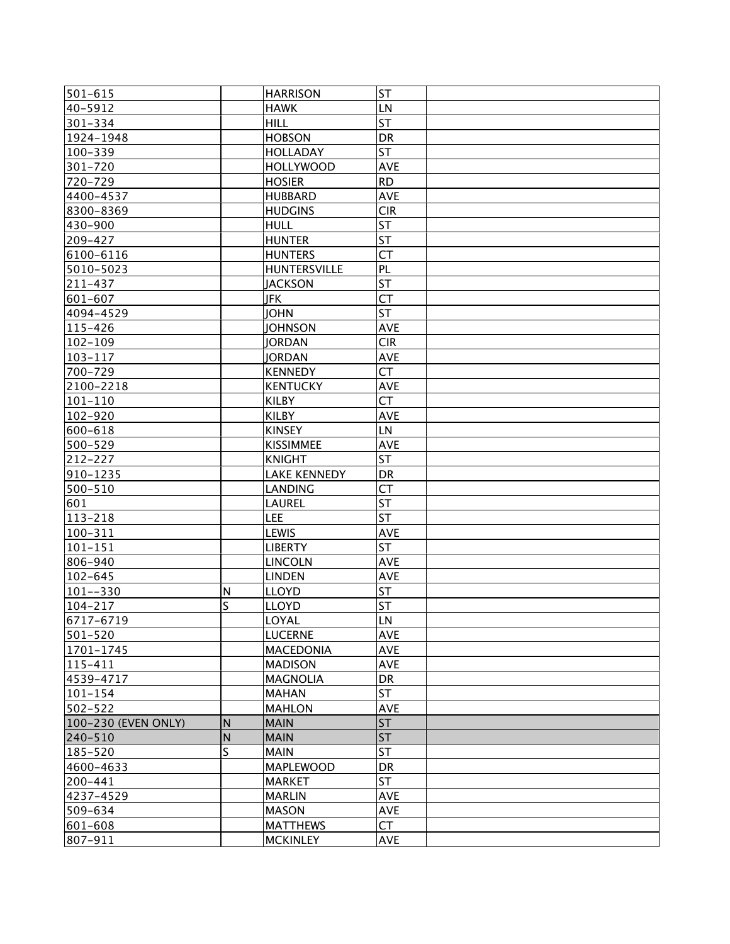| 501-615             |              | <b>HARRISON</b>     | <b>ST</b>  |  |
|---------------------|--------------|---------------------|------------|--|
| 40-5912             |              | <b>HAWK</b>         | LN         |  |
| 301-334             |              | <b>HILL</b>         | <b>ST</b>  |  |
| 1924-1948           |              | <b>HOBSON</b>       | <b>DR</b>  |  |
| 100-339             |              | <b>HOLLADAY</b>     | <b>ST</b>  |  |
| 301-720             |              | <b>HOLLYWOOD</b>    | AVE        |  |
| 720-729             |              | <b>HOSIER</b>       | <b>RD</b>  |  |
| 4400-4537           |              | <b>HUBBARD</b>      | AVE        |  |
| 8300-8369           |              | <b>HUDGINS</b>      | <b>CIR</b> |  |
| 430-900             |              | <b>HULL</b>         | <b>ST</b>  |  |
| 209-427             |              | <b>HUNTER</b>       | <b>ST</b>  |  |
| 6100-6116           |              | <b>HUNTERS</b>      | <b>CT</b>  |  |
| 5010-5023           |              | <b>HUNTERSVILLE</b> | PL         |  |
| 211-437             |              | <b>JACKSON</b>      | <b>ST</b>  |  |
| 601-607             |              | JFK                 | <b>CT</b>  |  |
| 4094-4529           |              | <b>JOHN</b>         | <b>ST</b>  |  |
| 115-426             |              | <b>JOHNSON</b>      | AVE        |  |
| $102 - 109$         |              | <b>JORDAN</b>       | <b>CIR</b> |  |
| $103 - 117$         |              | JORDAN              | <b>AVE</b> |  |
| 700-729             |              | <b>KENNEDY</b>      | <b>CT</b>  |  |
| 2100-2218           |              | <b>KENTUCKY</b>     | <b>AVE</b> |  |
| $101 - 110$         |              | <b>KILBY</b>        | <b>CT</b>  |  |
| 102-920             |              | <b>KILBY</b>        | <b>AVE</b> |  |
| 600-618             |              | <b>KINSEY</b>       | LN         |  |
| 500-529             |              | <b>KISSIMMEE</b>    | <b>AVE</b> |  |
| 212-227             |              | <b>KNIGHT</b>       | <b>ST</b>  |  |
| 910-1235            |              | <b>LAKE KENNEDY</b> | DR         |  |
| 500-510             |              | <b>LANDING</b>      | <b>CT</b>  |  |
| 601                 |              | <b>LAUREL</b>       | <b>ST</b>  |  |
| 113-218             |              | LEE                 | ST         |  |
| $100 - 311$         |              | <b>LEWIS</b>        | AVE        |  |
| $101 - 151$         |              | <b>LIBERTY</b>      | <b>ST</b>  |  |
| 806-940             |              | <b>LINCOLN</b>      | <b>AVE</b> |  |
| 102-645             |              | <b>LINDEN</b>       | <b>AVE</b> |  |
| $101 - -330$        | $\mathsf{N}$ | <b>LLOYD</b>        | <b>ST</b>  |  |
| 104-217             | S            | <b>LLOYD</b>        | <b>ST</b>  |  |
| 6717-6719           |              | LOYAL               | LN.        |  |
| $501 - 520$         |              | <b>LUCERNE</b>      | <b>AVE</b> |  |
| 1701-1745           |              | <b>MACEDONIA</b>    | AVE        |  |
| 115-411             |              | <b>MADISON</b>      | AVE        |  |
| 4539-4717           |              | <b>MAGNOLIA</b>     | DR         |  |
| $101 - 154$         |              | <b>MAHAN</b>        | <b>ST</b>  |  |
| $502 - 522$         |              | <b>MAHLON</b>       | <b>AVE</b> |  |
| 100-230 (EVEN ONLY) | N            | <b>MAIN</b>         | ST         |  |
| 240-510             | $\mathsf{N}$ | <b>MAIN</b>         | ST         |  |
| 185-520             | S            | <b>MAIN</b>         | <b>ST</b>  |  |
| 4600-4633           |              | <b>MAPLEWOOD</b>    | DR         |  |
| 200-441             |              | <b>MARKET</b>       | <b>ST</b>  |  |
| 4237-4529           |              | <b>MARLIN</b>       | <b>AVE</b> |  |
| 509-634             |              | <b>MASON</b>        | <b>AVE</b> |  |
| 601-608             |              | <b>MATTHEWS</b>     | <b>CT</b>  |  |
| 807-911             |              | <b>MCKINLEY</b>     | AVE        |  |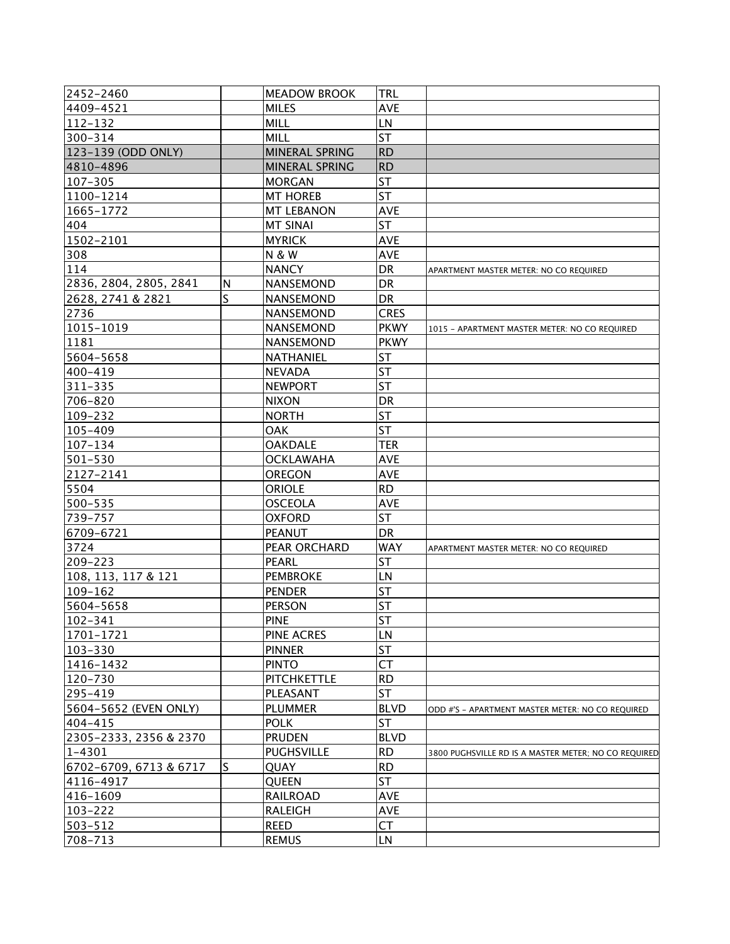| 2452-2460              |    | <b>MEADOW BROOK</b>   | TRL         |                                                      |
|------------------------|----|-----------------------|-------------|------------------------------------------------------|
| 4409-4521              |    | <b>MILES</b>          | <b>AVE</b>  |                                                      |
| $112 - 132$            |    | <b>MILL</b>           | LN          |                                                      |
| 300-314                |    | <b>MILL</b>           | <b>ST</b>   |                                                      |
| 123-139 (ODD ONLY)     |    | MINERAL SPRING        | <b>RD</b>   |                                                      |
| 4810-4896              |    | <b>MINERAL SPRING</b> | <b>RD</b>   |                                                      |
| 107-305                |    | <b>MORGAN</b>         | <b>ST</b>   |                                                      |
| 1100-1214              |    | <b>MT HOREB</b>       | <b>ST</b>   |                                                      |
| 1665-1772              |    | <b>MT LEBANON</b>     | <b>AVE</b>  |                                                      |
| 404                    |    | <b>MT SINAI</b>       | <b>ST</b>   |                                                      |
| 1502-2101              |    | <b>MYRICK</b>         | <b>AVE</b>  |                                                      |
| 308                    |    | <b>N &amp; W</b>      | <b>AVE</b>  |                                                      |
| 114                    |    | <b>NANCY</b>          | DR          | APARTMENT MASTER METER: NO CO REQUIRED               |
| 2836, 2804, 2805, 2841 | N  | NANSEMOND             | <b>DR</b>   |                                                      |
| 2628, 2741 & 2821      | S  | <b>NANSEMOND</b>      | DR          |                                                      |
| 2736                   |    | NANSEMOND             | <b>CRES</b> |                                                      |
| 1015-1019              |    | NANSEMOND             | <b>PKWY</b> | 1015 - APARTMENT MASTER METER: NO CO REQUIRED        |
| 1181                   |    | <b>NANSEMOND</b>      | <b>PKWY</b> |                                                      |
| 5604-5658              |    | NATHANIEL             | <b>ST</b>   |                                                      |
| 400-419                |    | <b>NEVADA</b>         | <b>ST</b>   |                                                      |
| 311-335                |    | <b>NEWPORT</b>        | <b>ST</b>   |                                                      |
| 706-820                |    | <b>NIXON</b>          | DR          |                                                      |
| 109-232                |    | <b>NORTH</b>          | <b>ST</b>   |                                                      |
| 105-409                |    | <b>OAK</b>            | <b>ST</b>   |                                                      |
| $107 - 134$            |    | <b>OAKDALE</b>        | <b>TER</b>  |                                                      |
| 501-530                |    | <b>OCKLAWAHA</b>      | <b>AVE</b>  |                                                      |
| 2127-2141              |    | <b>OREGON</b>         | <b>AVE</b>  |                                                      |
| 5504                   |    | <b>ORIOLE</b>         | <b>RD</b>   |                                                      |
| 500-535                |    | <b>OSCEOLA</b>        | <b>AVE</b>  |                                                      |
| 739-757                |    | <b>OXFORD</b>         | <b>ST</b>   |                                                      |
| 6709-6721              |    | <b>PEANUT</b>         | <b>DR</b>   |                                                      |
| 3724                   |    | PEAR ORCHARD          | <b>WAY</b>  | APARTMENT MASTER METER: NO CO REQUIRED               |
| 209-223                |    | <b>PEARL</b>          | <b>ST</b>   |                                                      |
| 108, 113, 117 & 121    |    | <b>PEMBROKE</b>       | LN          |                                                      |
| 109-162                |    | <b>PENDER</b>         | <b>ST</b>   |                                                      |
| 5604-5658              |    | <b>PERSON</b>         | ST          |                                                      |
| $102 - 341$            |    | <b>PINE</b>           | <b>ST</b>   |                                                      |
| 1701-1721              |    | <b>PINE ACRES</b>     | LN          |                                                      |
| 103-330                |    | <b>PINNER</b>         | <b>ST</b>   |                                                      |
| 1416-1432              |    | <b>PINTO</b>          | <b>CT</b>   |                                                      |
| 120-730                |    | <b>PITCHKETTLE</b>    | <b>RD</b>   |                                                      |
| 295-419                |    | PLEASANT              | <b>ST</b>   |                                                      |
| 5604-5652 (EVEN ONLY)  |    | <b>PLUMMER</b>        | <b>BLVD</b> | ODD #'S - APARTMENT MASTER METER: NO CO REQUIRED     |
| 404-415                |    | <b>POLK</b>           | ST          |                                                      |
| 2305-2333, 2356 & 2370 |    | <b>PRUDEN</b>         | <b>BLVD</b> |                                                      |
| $1 - 4301$             |    | <b>PUGHSVILLE</b>     | <b>RD</b>   | 3800 PUGHSVILLE RD IS A MASTER METER; NO CO REQUIRED |
| 6702-6709, 6713 & 6717 | ls | QUAY                  | <b>RD</b>   |                                                      |
| 4116-4917              |    | <b>QUEEN</b>          | <b>ST</b>   |                                                      |
| 416-1609               |    | <b>RAILROAD</b>       | <b>AVE</b>  |                                                      |
| 103-222                |    | <b>RALEIGH</b>        | <b>AVE</b>  |                                                      |
| 503-512                |    | <b>REED</b>           | <b>CT</b>   |                                                      |
| 708-713                |    | <b>REMUS</b>          | LN          |                                                      |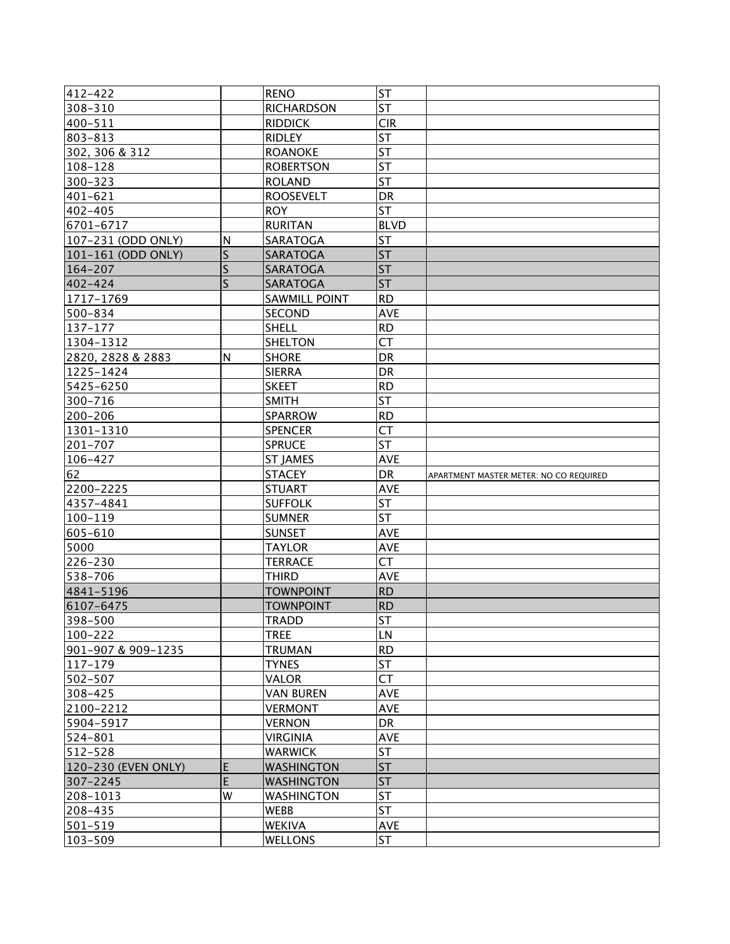| 412-422                  |                         | <b>RENO</b>                     | <b>ST</b>        |                                        |
|--------------------------|-------------------------|---------------------------------|------------------|----------------------------------------|
| 308-310                  |                         | <b>RICHARDSON</b>               | <b>ST</b>        |                                        |
| 400-511                  |                         | <b>RIDDICK</b>                  | <b>CIR</b>       |                                        |
| 803-813                  |                         | <b>RIDLEY</b>                   | <b>ST</b>        |                                        |
| 302, 306 & 312           |                         | <b>ROANOKE</b>                  | <b>ST</b>        |                                        |
| 108-128                  |                         | <b>ROBERTSON</b>                | <b>ST</b>        |                                        |
| 300-323                  |                         | <b>ROLAND</b>                   | <b>ST</b>        |                                        |
| 401-621                  |                         | <b>ROOSEVELT</b>                | DR               |                                        |
| 402-405                  |                         | <b>ROY</b>                      | <b>ST</b>        |                                        |
| 6701-6717                |                         | <b>RURITAN</b>                  | <b>BLVD</b>      |                                        |
| 107-231 (ODD ONLY)       | N                       | SARATOGA                        | <b>ST</b>        |                                        |
| 101-161 (ODD ONLY)       | $\mathsf{S}$            | SARATOGA                        | <b>ST</b>        |                                        |
| 164-207                  | S                       | <b>SARATOGA</b>                 | <b>ST</b>        |                                        |
| 402-424                  | $\overline{\mathsf{S}}$ | SARATOGA                        | <b>ST</b>        |                                        |
| 1717-1769                |                         | SAWMILL POINT                   | <b>RD</b>        |                                        |
| 500-834                  |                         | <b>SECOND</b>                   | <b>AVE</b>       |                                        |
| 137-177                  |                         | SHELL                           | <b>RD</b>        |                                        |
| 1304-1312                |                         | <b>SHELTON</b>                  | <b>CT</b>        |                                        |
| 2820, 2828 & 2883        | N                       | <b>SHORE</b>                    | DR               |                                        |
| 1225-1424                |                         | <b>SIERRA</b>                   | DR               |                                        |
| 5425-6250                |                         | <b>SKEET</b>                    | <b>RD</b>        |                                        |
| 300-716                  |                         | <b>SMITH</b>                    | <b>ST</b>        |                                        |
| 200-206                  |                         | <b>SPARROW</b>                  | <b>RD</b>        |                                        |
| 1301-1310                |                         | <b>SPENCER</b>                  | <b>CT</b>        |                                        |
| 201-707                  |                         | <b>SPRUCE</b>                   | <b>ST</b>        |                                        |
| 106-427                  |                         | <b>ST JAMES</b>                 | <b>AVE</b>       |                                        |
|                          |                         |                                 |                  |                                        |
| 62                       |                         | <b>STACEY</b>                   | DR               | APARTMENT MASTER METER: NO CO REQUIRED |
| 2200-2225                |                         | <b>STUART</b>                   | <b>AVE</b>       |                                        |
| 4357-4841                |                         | <b>SUFFOLK</b>                  | <b>ST</b>        |                                        |
| 100-119                  |                         | <b>SUMNER</b>                   | <b>ST</b>        |                                        |
| 605-610                  |                         | <b>SUNSET</b>                   | <b>AVE</b>       |                                        |
| 5000                     |                         | <b>TAYLOR</b>                   | <b>AVE</b>       |                                        |
| 226-230                  |                         | <b>TERRACE</b>                  | <b>CT</b>        |                                        |
| 538-706                  |                         | <b>THIRD</b>                    | AVE              |                                        |
| 4841-5196                |                         | <b>TOWNPOINT</b>                | <b>RD</b>        |                                        |
| 6107-6475                |                         | <b>TOWNPOINT</b>                | <b>RD</b>        |                                        |
| 398-500                  |                         | <b>TRADD</b>                    | <b>ST</b>        |                                        |
| 100-222                  |                         | <b>TREE</b>                     | LN               |                                        |
| 901-907 & 909-1235       |                         | <b>TRUMAN</b>                   | <b>RD</b>        |                                        |
| $ 117 - 179$             |                         | <b>TYNES</b>                    | <b>ST</b>        |                                        |
| 502-507                  |                         | VALOR                           | <b>CT</b>        |                                        |
| 308–425                  |                         | <b>VAN BUREN</b>                | <b>AVE</b>       |                                        |
| 2100-2212                |                         | <b>VERMONT</b>                  | <b>AVE</b>       |                                        |
| 5904-5917                |                         | <b>VERNON</b>                   | <b>DR</b>        |                                        |
| 524-801                  |                         | <b>VIRGINIA</b>                 | <b>AVE</b>       |                                        |
| 512-528                  |                         | <b>WARWICK</b>                  | ST               |                                        |
| 120-230 (EVEN ONLY)      | E                       | <b>WASHINGTON</b>               | <b>ST</b>        |                                        |
| 307-2245                 | E                       | <b>WASHINGTON</b>               | <b>ST</b>        |                                        |
| 208-1013                 | W                       | <b>WASHINGTON</b>               | <b>ST</b>        |                                        |
| 208-435                  |                         | <b>WEBB</b>                     | <b>ST</b>        |                                        |
| 501-519<br>$ 103 - 509 $ |                         | <b>WEKIVA</b><br><b>WELLONS</b> | AVE<br><b>ST</b> |                                        |